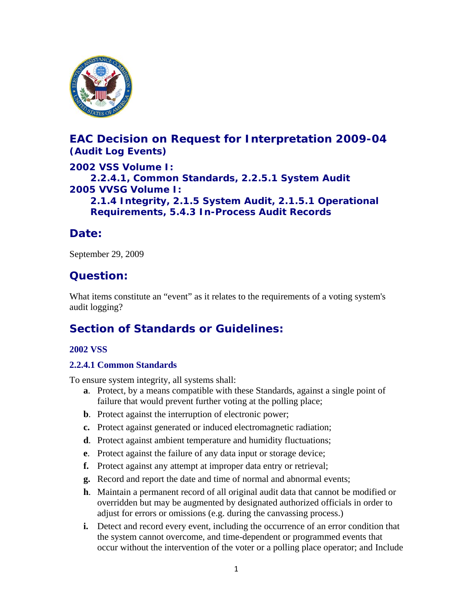

### **EAC Decision on Request for Interpretation 2009-04 (Audit Log Events)**

**2002 VSS Volume I: 2.2.4.1, Common Standards, 2.2.5.1 System Audit 2005 VVSG Volume I:** 

**2.1.4 Integrity, 2.1.5 System Audit, 2.1.5.1 Operational Requirements, 5.4.3 In-Process Audit Records** 

## *Date:*

September 29, 2009

### *Question:*

What items constitute an "event" as it relates to the requirements of a voting system's audit logging?

## *Section of Standards or Guidelines:*

#### **2002 VSS**

#### **2.2.4.1 Common Standards**

To ensure system integrity, all systems shall:

- **a**. Protect, by a means compatible with these Standards, against a single point of failure that would prevent further voting at the polling place;
- **b**. Protect against the interruption of electronic power;
- **c.** Protect against generated or induced electromagnetic radiation;
- **d**. Protect against ambient temperature and humidity fluctuations;
- **e**. Protect against the failure of any data input or storage device;
- **f.** Protect against any attempt at improper data entry or retrieval;
- **g.** Record and report the date and time of normal and abnormal events;
- **h**. Maintain a permanent record of all original audit data that cannot be modified or overridden but may be augmented by designated authorized officials in order to adjust for errors or omissions (e.g. during the canvassing process.)
- **i.** Detect and record every event, including the occurrence of an error condition that the system cannot overcome, and time-dependent or programmed events that occur without the intervention of the voter or a polling place operator; and Include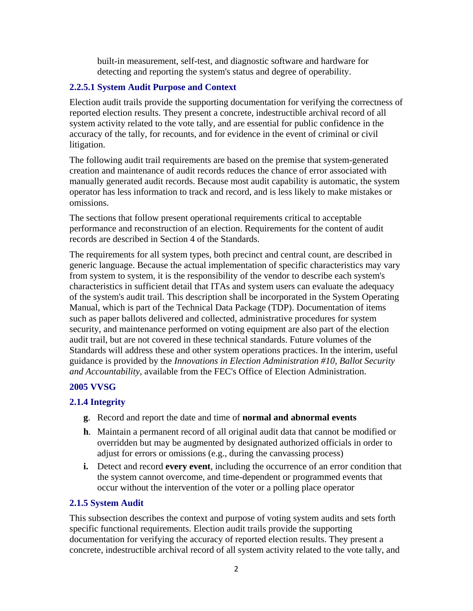built-in measurement, self-test, and diagnostic software and hardware for detecting and reporting the system's status and degree of operability.

#### **2.2.5.1 System Audit Purpose and Context**

Election audit trails provide the supporting documentation for verifying the correctness of reported election results. They present a concrete, indestructible archival record of all system activity related to the vote tally, and are essential for public confidence in the accuracy of the tally, for recounts, and for evidence in the event of criminal or civil litigation.

The following audit trail requirements are based on the premise that system-generated creation and maintenance of audit records reduces the chance of error associated with manually generated audit records. Because most audit capability is automatic, the system operator has less information to track and record, and is less likely to make mistakes or omissions.

The sections that follow present operational requirements critical to acceptable performance and reconstruction of an election. Requirements for the content of audit records are described in Section 4 of the Standards.

The requirements for all system types, both precinct and central count, are described in generic language. Because the actual implementation of specific characteristics may vary from system to system, it is the responsibility of the vendor to describe each system's characteristics in sufficient detail that ITAs and system users can evaluate the adequacy of the system's audit trail. This description shall be incorporated in the System Operating Manual, which is part of the Technical Data Package (TDP). Documentation of items such as paper ballots delivered and collected, administrative procedures for system security, and maintenance performed on voting equipment are also part of the election audit trail, but are not covered in these technical standards. Future volumes of the Standards will address these and other system operations practices. In the interim, useful guidance is provided by the *Innovations in Election Administration #10, Ballot Security and Accountability,* available from the FEC's Office of Election Administration.

#### **2005 VVSG**

#### **2.1.4 Integrity**

- **g**. Record and report the date and time of **normal and abnormal events**
- **h**. Maintain a permanent record of all original audit data that cannot be modified or overridden but may be augmented by designated authorized officials in order to adjust for errors or omissions (e.g., during the canvassing process)
- **i.** Detect and record **every event**, including the occurrence of an error condition that the system cannot overcome, and time-dependent or programmed events that occur without the intervention of the voter or a polling place operator

#### **2.1.5 System Audit**

This subsection describes the context and purpose of voting system audits and sets forth specific functional requirements. Election audit trails provide the supporting documentation for verifying the accuracy of reported election results. They present a concrete, indestructible archival record of all system activity related to the vote tally, and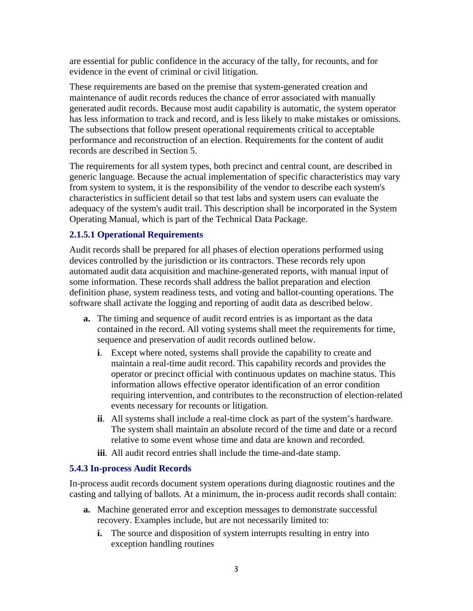are essential for public confidence in the accuracy of the tally, for recounts, and for evidence in the event of criminal or civil litigation.

These requirements are based on the premise that system-generated creation and maintenance of audit records reduces the chance of error associated with manually generated audit records. Because most audit capability is automatic, the system operator has less information to track and record, and is less likely to make mistakes or omissions. The subsections that follow present operational requirements critical to acceptable performance and reconstruction of an election. Requirements for the content of audit records are described in Section 5.

The requirements for all system types, both precinct and central count, are described in generic language. Because the actual implementation of specific characteristics may vary from system to system, it is the responsibility of the vendor to describe each system's characteristics in sufficient detail so that test labs and system users can evaluate the adequacy of the system's audit trail. This description shall be incorporated in the System Operating Manual, which is part of the Technical Data Package.

#### **2.1.5.1 Operational Requirements**

Audit records shall be prepared for all phases of election operations performed using devices controlled by the jurisdiction or its contractors. These records rely upon automated audit data acquisition and machine-generated reports, with manual input of some information. These records shall address the ballot preparation and election definition phase, system readiness tests, and voting and ballot-counting operations. The software shall activate the logging and reporting of audit data as described below.

- **a.** The timing and sequence of audit record entries is as important as the data contained in the record. All voting systems shall meet the requirements for time, sequence and preservation of audit records outlined below.
	- **i**. Except where noted, systems shall provide the capability to create and maintain a real-time audit record. This capability records and provides the operator or precinct official with continuous updates on machine status. This information allows effective operator identification of an error condition requiring intervention, and contributes to the reconstruction of election-related events necessary for recounts or litigation.
	- **ii**. All systems shall include a real-time clock as part of the system's hardware. The system shall maintain an absolute record of the time and date or a record relative to some event whose time and data are known and recorded.
	- **iii**. All audit record entries shall include the time-and-date stamp.

#### **5.4.3 In-process Audit Records**

In-process audit records document system operations during diagnostic routines and the casting and tallying of ballots. At a minimum, the in-process audit records shall contain:

- **a.** Machine generated error and exception messages to demonstrate successful recovery. Examples include, but are not necessarily limited to:
	- **i.** The source and disposition of system interrupts resulting in entry into exception handling routines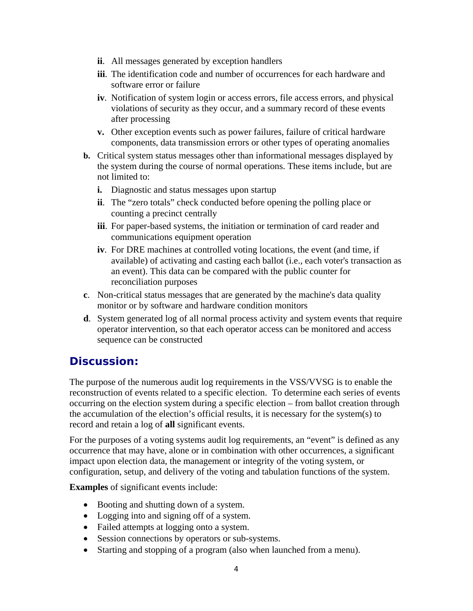- **ii**. All messages generated by exception handlers
- **iii**. The identification code and number of occurrences for each hardware and software error or failure
- **iv**. Notification of system login or access errors, file access errors, and physical violations of security as they occur, and a summary record of these events after processing
- **v.** Other exception events such as power failures, failure of critical hardware components, data transmission errors or other types of operating anomalies
- **b.** Critical system status messages other than informational messages displayed by the system during the course of normal operations. These items include, but are not limited to:
	- **i.** Diagnostic and status messages upon startup
	- **ii**. The "zero totals" check conducted before opening the polling place or counting a precinct centrally
	- **iii**. For paper-based systems, the initiation or termination of card reader and communications equipment operation
	- **iv**. For DRE machines at controlled voting locations, the event (and time, if available) of activating and casting each ballot (i.e., each voter's transaction as an event). This data can be compared with the public counter for reconciliation purposes
- **c**. Non-critical status messages that are generated by the machine's data quality monitor or by software and hardware condition monitors
- **d**. System generated log of all normal process activity and system events that require operator intervention, so that each operator access can be monitored and access sequence can be constructed

### *Discussion:*

The purpose of the numerous audit log requirements in the VSS/VVSG is to enable the reconstruction of events related to a specific election. To determine each series of events occurring on the election system during a specific election – from ballot creation through the accumulation of the election's official results, it is necessary for the system(s) to record and retain a log of **all** significant events.

For the purposes of a voting systems audit log requirements, an "event" is defined as any occurrence that may have, alone or in combination with other occurrences, a significant impact upon election data, the management or integrity of the voting system, or configuration, setup, and delivery of the voting and tabulation functions of the system.

**Examples** of significant events include:

- Booting and shutting down of a system.
- Logging into and signing off of a system.
- Failed attempts at logging onto a system.
- Session connections by operators or sub-systems.
- Starting and stopping of a program (also when launched from a menu).